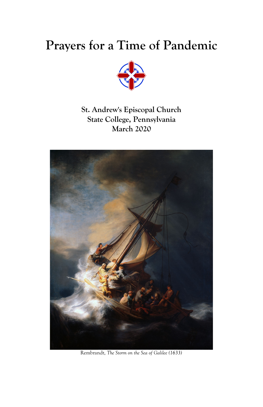# **Prayers for a Time of Pandemic**



**St. Andrew's Episcopal Church State College, Pennsylvania March 2020**



Rembrandt, *The Storm on the Sea of Galilee (1633)*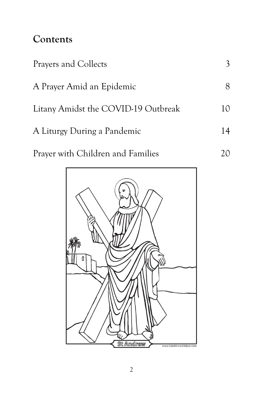## **Contents**

| Prayers and Collects                |    |
|-------------------------------------|----|
| A Prayer Amid an Epidemic           |    |
| Litany Amidst the COVID-19 Outbreak | 10 |
| A Liturgy During a Pandemic         | 14 |
|                                     |    |

20

Prayer with Children and Families

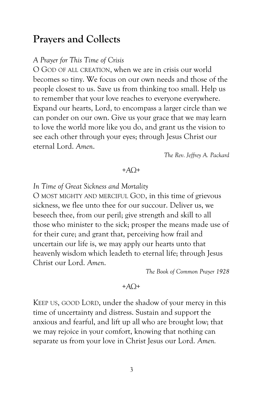### **Prayers and Collects**

*A Prayer for This Time of Crisis*

O GOD OF ALL CREATION, when we are in crisis our world becomes so tiny. We focus on our own needs and those of the people closest to us. Save us from thinking too small. Help us to remember that your love reaches to everyone everywhere. Expand our hearts, Lord, to encompass a larger circle than we can ponder on our own. Give us your grace that we may learn to love the world more like you do, and grant us the vision to see each other through your eyes; through Jesus Christ our eternal Lord. *Amen*.

*The Rev. Jeffrey A. Packard*

#### *+AΩ+*

*In Time of Great Sickness and Mortality*

O MOST MIGHTY AND MERCIFUL GOD, in this time of grievous sickness, we flee unto thee for our succour. Deliver us, we beseech thee, from our peril; give strength and skill to all those who minister to the sick; prosper the means made use of for their cure; and grant that, perceiving how frail and uncertain our life is, we may apply our hearts unto that heavenly wisdom which leadeth to eternal life; through Jesus Christ our Lord. *Amen*.

*The Book of Common Prayer 1928*

#### *+AΩ+*

KEEP US, GOOD LORD, under the shadow of your mercy in this time of uncertainty and distress. Sustain and support the anxious and fearful, and lift up all who are brought low; that we may rejoice in your comfort, knowing that nothing can separate us from your love in Christ Jesus our Lord. *Amen.*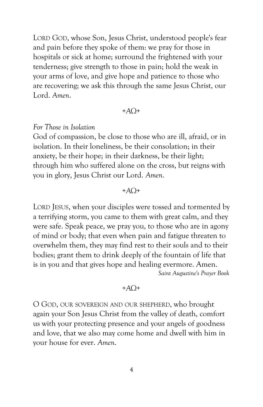LORD GOD, whose Son, Jesus Christ, understood people's fear and pain before they spoke of them: we pray for those in hospitals or sick at home; surround the frightened with your tenderness; give strength to those in pain; hold the weak in your arms of love, and give hope and patience to those who are recovering; we ask this through the same Jesus Christ, our Lord. *Amen*.

#### *+AΩ+*

#### *For Those in Isolation*

God of compassion, be close to those who are ill, afraid, or in isolation. In their loneliness, be their consolation; in their anxiety, be their hope; in their darkness, be their light; through him who suffered alone on the cross, but reigns with you in glory, Jesus Christ our Lord. *Amen*.

#### *+AΩ+*

LORD JESUS, when your disciples were tossed and tormented by a terrifying storm, you came to them with great calm, and they were safe. Speak peace, we pray you, to those who are in agony of mind or body; that even when pain and fatigue threaten to overwhelm them, they may find rest to their souls and to their bodies; grant them to drink deeply of the fountain of life that is in you and that gives hope and healing evermore. Amen. *Saint Augustine's Prayer Book*

#### *+AΩ+*

O GOD, OUR SOVEREIGN AND OUR SHEPHERD, who brought again your Son Jesus Christ from the valley of death, comfort us with your protecting presence and your angels of goodness and love, that we also may come home and dwell with him in your house for ever. *Amen*.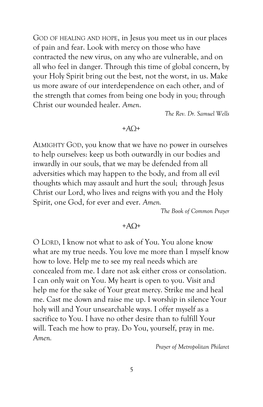GOD OF HEALING AND HOPE, in Jesus you meet us in our places of pain and fear. Look with mercy on those who have contracted the new virus, on any who are vulnerable, and on all who feel in danger. Through this time of global concern, by your Holy Spirit bring out the best, not the worst, in us. Make us more aware of our interdependence on each other, and of the strength that comes from being one body in you; through Christ our wounded healer. *Amen*.

*The Rev. Dr. Samuel Wells*

#### *+AΩ+*

ALMIGHTY GOD, you know that we have no power in ourselves to help ourselves: keep us both outwardly in our bodies and inwardly in our souls, that we may be defended from all adversities which may happen to the body, and from all evil thoughts which may assault and hurt the soul; through Jesus Christ our Lord, who lives and reigns with you and the Holy Spirit, one God, for ever and ever. *Amen.*

*The Book of Common Prayer*

#### $+AO+$

O LORD, I know not what to ask of You. You alone know what are my true needs. You love me more than I myself know how to love. Help me to see my real needs which are concealed from me. I dare not ask either cross or consolation. I can only wait on You. My heart is open to you. Visit and help me for the sake of Your great mercy. Strike me and heal me. Cast me down and raise me up. I worship in silence Your holy will and Your unsearchable ways. I offer myself as a sacrifice to You. I have no other desire than to fulfill Your will. Teach me how to pray. Do You, yourself, pray in me. *Amen.*

*Prayer of Metropolitan Philaret*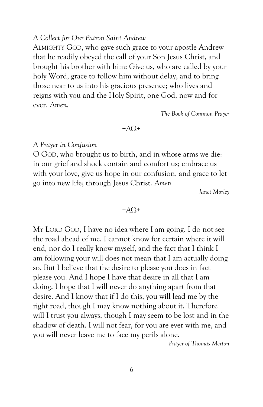#### *A Collect for Our Patron Saint Andrew*

ALMIGHTY GOD, who gave such grace to your apostle Andrew that he readily obeyed the call of your Son Jesus Christ, and brought his brother with him: Give us, who are called by your holy Word, grace to follow him without delay, and to bring those near to us into his gracious presence; who lives and reigns with you and the Holy Spirit, one God, now and for ever. *Amen*.

*The Book of Common Prayer*

#### *+AΩ+*

#### *A Prayer in Confusion*

O GOD, who brought us to birth, and in whose arms we die: in our grief and shock contain and comfort us; embrace us with your love, give us hope in our confusion, and grace to let go into new life; through Jesus Christ. *Amen*

*Janet Morley*

#### *+AΩ+*

MY LORD GOD, I have no idea where I am going. I do not see the road ahead of me. I cannot know for certain where it will end, nor do I really know myself, and the fact that I think I am following your will does not mean that I am actually doing so. But I believe that the desire to please you does in fact please you. And I hope I have that desire in all that I am doing. I hope that I will never do anything apart from that desire. And I know that if I do this, you will lead me by the right road, though I may know nothing about it. Therefore will I trust you always, though I may seem to be lost and in the shadow of death. I will not fear, for you are ever with me, and you will never leave me to face my perils alone.

*Prayer of Thomas Merton*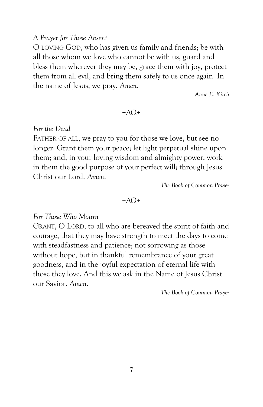#### *A Prayer for Those Absent*

O LOVING GOD, who has given us family and friends; be with all those whom we love who cannot be with us, guard and bless them wherever they may be, grace them with joy, protect them from all evil, and bring them safely to us once again. In the name of Jesus, we pray. *Amen*.

*Anne E. Kitch*

#### *+AΩ+*

#### *For the Dead*

FATHER OF ALL, we pray to you for those we love, but see no longer: Grant them your peace; let light perpetual shine upon them; and, in your loving wisdom and almighty power, work in them the good purpose of your perfect will; through Jesus Christ our Lord. *Amen*.

*The Book of Common Prayer*

#### *+AΩ+*

*For Those Who Mourn*

GRANT, O LORD, to all who are bereaved the spirit of faith and courage, that they may have strength to meet the days to come with steadfastness and patience; not sorrowing as those without hope, but in thankful remembrance of your great goodness, and in the joyful expectation of eternal life with those they love. And this we ask in the Name of Jesus Christ our Savior. *Amen*.

*The Book of Common Prayer*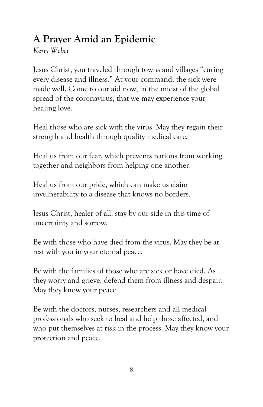## **A Prayer Amid an Epidemic**

*Kerry Weber*

Jesus Christ, you traveled through towns and villages "curing every disease and illness." At your command, the sick were made well. Come to our aid now, in the midst of the global spread of the coronavirus, that we may experience your healing love.

Heal those who are sick with the virus. May they regain their strength and health through quality medical care.

Heal us from our fear, which prevents nations from working together and neighbors from helping one another.

Heal us from our pride, which can make us claim invulnerability to a disease that knows no borders.

Jesus Christ, healer of all, stay by our side in this time of uncertainty and sorrow.

Be with those who have died from the virus. May they be at rest with you in your eternal peace.

Be with the families of those who are sick or have died. As they worry and grieve, defend them from illness and despair. May they know your peace.

Be with the doctors, nurses, researchers and all medical professionals who seek to heal and help those affected, and who put themselves at risk in the process. May they know your protection and peace.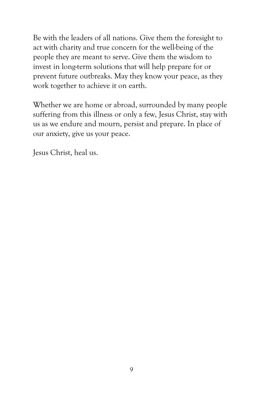Be with the leaders of all nations. Give them the foresight to act with charity and true concern for the well-being of the people they are meant to serve. Give them the wisdom to invest in long-term solutions that will help prepare for or prevent future outbreaks. May they know your peace, as they work together to achieve it on earth.

Whether we are home or abroad, surrounded by many people suffering from this illness or only a few, Jesus Christ, stay with us as we endure and mourn, persist and prepare. In place of our anxiety, give us your peace.

Jesus Christ, heal us.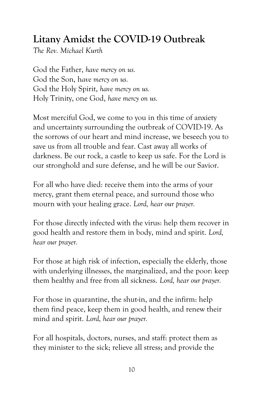### **Litany Amidst the COVID-19 Outbreak**

*The Rev. Michael Kurth*

God the Father, *have mercy on us.* God the Son, h*ave mercy on us.* God the Holy Spirit, *have mercy on us.* Holy Trinity, one God, *have mercy on us.*

Most merciful God, we come to you in this time of anxiety and uncertainty surrounding the outbreak of COVID-19. As the sorrows of our heart and mind increase, we beseech you to save us from all trouble and fear. Cast away all works of darkness. Be our rock, a castle to keep us safe. For the Lord is our stronghold and sure defense, and he will be our Savior.

For all who have died: receive them into the arms of your mercy, grant them eternal peace, and surround those who mourn with your healing grace. *Lord, hear our prayer.*

For those directly infected with the virus: help them recover in good health and restore them in body, mind and spirit. *Lord, hear our prayer.*

For those at high risk of infection, especially the elderly, those with underlying illnesses, the marginalized, and the poor: keep them healthy and free from all sickness. *Lord, hear our prayer.*

For those in quarantine, the shut-in, and the infirm: help them find peace, keep them in good health, and renew their mind and spirit. *Lord, hear our prayer.*

For all hospitals, doctors, nurses, and staff: protect them as they minister to the sick; relieve all stress; and provide the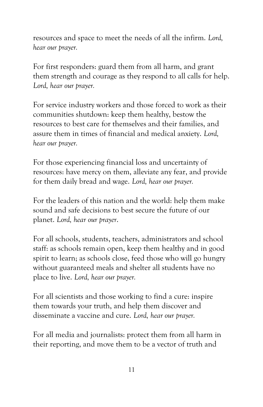resources and space to meet the needs of all the infirm. *Lord, hear our prayer.*

For first responders: guard them from all harm, and grant them strength and courage as they respond to all calls for help. *Lord, hear our prayer.*

For service industry workers and those forced to work as their communities shutdown: keep them healthy, bestow the resources to best care for themselves and their families, and assure them in times of financial and medical anxiety. *Lord, hear our prayer.*

For those experiencing financial loss and uncertainty of resources: have mercy on them, alleviate any fear, and provide for them daily bread and wage. *Lord, hear our prayer.*

For the leaders of this nation and the world: help them make sound and safe decisions to best secure the future of our planet. *Lord, hear our prayer*.

For all schools, students, teachers, administrators and school staff: as schools remain open, keep them healthy and in good spirit to learn; as schools close, feed those who will go hungry without guaranteed meals and shelter all students have no place to live. *Lord, hear our prayer.*

For all scientists and those working to find a cure: inspire them towards your truth, and help them discover and disseminate a vaccine and cure. *Lord, hear our prayer.*

For all media and journalists: protect them from all harm in their reporting, and move them to be a vector of truth and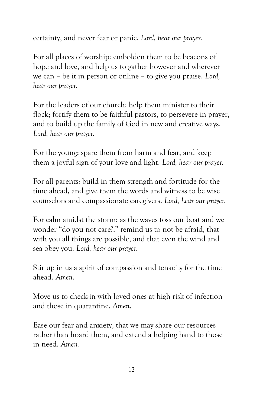certainty, and never fear or panic. *Lord, hear our prayer.*

For all places of worship: embolden them to be beacons of hope and love, and help us to gather however and wherever we can – be it in person or online – to give you praise. *Lord, hear our prayer.*

For the leaders of our church: help them minister to their flock; fortify them to be faithful pastors, to persevere in prayer, and to build up the family of God in new and creative ways. *Lord, hear our prayer.*

For the young: spare them from harm and fear, and keep them a joyful sign of your love and light. *Lord, hear our prayer.*

For all parents: build in them strength and fortitude for the time ahead, and give them the words and witness to be wise counselors and compassionate caregivers. *Lord, hear our prayer.*

For calm amidst the storm: as the waves toss our boat and we wonder "do you not care?," remind us to not be afraid, that with you all things are possible, and that even the wind and sea obey you. *Lord, hear our prayer.*

Stir up in us a spirit of compassion and tenacity for the time ahead. *Amen*.

Move us to check-in with loved ones at high risk of infection and those in quarantine. *Amen*.

Ease our fear and anxiety, that we may share our resources rather than hoard them, and extend a helping hand to those in need. *Amen.*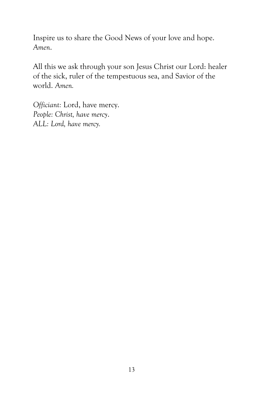Inspire us to share the Good News of your love and hope. *Amen*.

All this we ask through your son Jesus Christ our Lord: healer of the sick, ruler of the tempestuous sea, and Savior of the world. *Amen.*

*Officiant:* Lord, have mercy. *People: Christ, have mercy*. *ALL: Lord, have mercy.*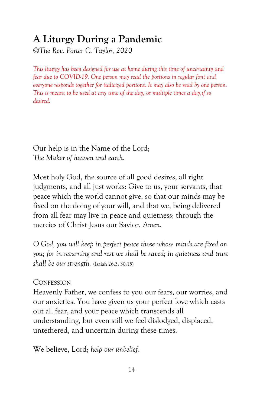### **A Liturgy During a Pandemic**

©*The Rev. Porter C. Taylor, 2020*

*This liturgy has been designed for use at home during this time of uncertainty and fear due to COVID-19. One person may read the portions in regular font and everyone responds together for italicized portions. It may also be read by one person. This is meant to be used at any time of the day, or multiple times a day,if so desired.*

Our help is in the Name of the Lord; *The Maker of heaven and earth.*

Most holy God, the source of all good desires, all right judgments, and all just works: Give to us, your servants, that peace which the world cannot give, so that our minds may be fixed on the doing of your will, and that we, being delivered from all fear may live in peace and quietness; through the mercies of Christ Jesus our Savior. *Amen.*

*O God, you will keep in perfect peace those whose minds are fixed on you; for in returning and rest we shall be saved; in quietness and trust shall be our strength.* (Isaiah 26:3; 30:15)

#### **CONFESSION**

Heavenly Father, we confess to you our fears, our worries, and our anxieties. You have given us your perfect love which casts out all fear, and your peace which transcends all understanding, but even still we feel dislodged, displaced, untethered, and uncertain during these times.

We believe, Lord; *help our unbelief*.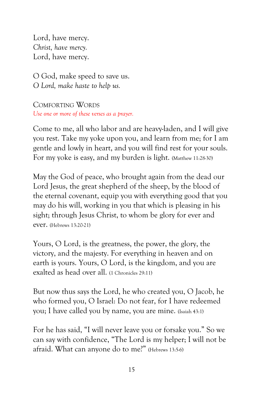Lord, have mercy. *Christ, have mercy.* Lord, have mercy.

O God, make speed to save us. *O Lord, make haste to help us.*

COMFORTING WORDS *Use one or more of these verses as a prayer.*

Come to me, all who labor and are heavy-laden, and I will give you rest. Take my yoke upon you, and learn from me; for I am gentle and lowly in heart, and you will find rest for your souls. For my yoke is easy, and my burden is light. (Matthew 11:28-30)

May the God of peace, who brought again from the dead our Lord Jesus, the great shepherd of the sheep, by the blood of the eternal covenant, equip you with everything good that you may do his will, working in you that which is pleasing in his sight; through Jesus Christ, to whom be glory for ever and ever. (Hebrews 13:20-21)

Yours, O Lord, is the greatness, the power, the glory, the victory, and the majesty. For everything in heaven and on earth is yours. Yours, O Lord, is the kingdom, and you are exalted as head over all. (1 Chronicles 29:11)

But now thus says the Lord, he who created you, O Jacob, he who formed you, O Israel: Do not fear, for I have redeemed you; I have called you by name, you are mine. (Isaiah 43:1)

For he has said, "I will never leave you or forsake you." So we can say with confidence, "The Lord is my helper; I will not be afraid. What can anyone do to me?" (Hebrews 13:5-6)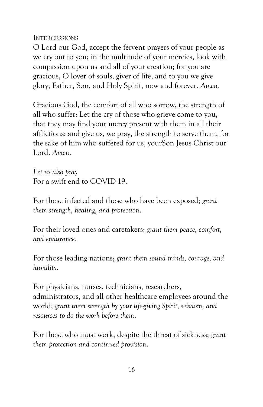INTERCESSIONS

O Lord our God, accept the fervent prayers of your people as we cry out to you; in the multitude of your mercies, look with compassion upon us and all of your creation; for you are gracious, O lover of souls, giver of life, and to you we give glory, Father, Son, and Holy Spirit, now and forever. *Amen.*

Gracious God, the comfort of all who sorrow, the strength of all who suffer: Let the cry of those who grieve come to you, that they may find your mercy present with them in all their afflictions; and give us, we pray, the strength to serve them, for the sake of him who suffered for us, yourSon Jesus Christ our Lord. *Amen*.

*Let us also pray* For a swift end to COVID-19.

For those infected and those who have been exposed; *grant them strength, healing, and protection*.

For their loved ones and caretakers; *grant them peace, comfort, and endurance*.

For those leading nations; *grant them sound minds, courage, and humility*.

For physicians, nurses, technicians, researchers, administrators, and all other healthcare employees around the world; *grant them strength by your life-giving Spirit, wisdom, and resources to do the work before them*.

For those who must work, despite the threat of sickness; *grant them protection and continued provision*.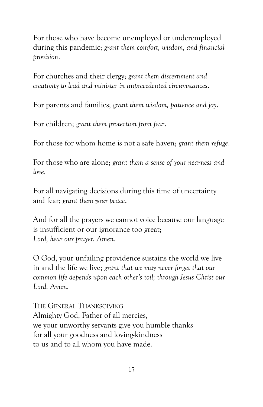For those who have become unemployed or underemployed during this pandemic; *grant them comfort, wisdom, and financial provision*.

For churches and their clergy; *grant them discernment and creativity to lead and minister in unprecedented circumstances*.

For parents and families; *grant them wisdom, patience and joy*.

For children; *grant them protection from fear*.

For those for whom home is not a safe haven; *grant them refuge*.

For those who are alone; *grant them a sense of your nearness and love.*

For all navigating decisions during this time of uncertainty and fear; *grant them your peace*.

And for all the prayers we cannot voice because our language is insufficient or our ignorance too great; *Lord, hear our prayer. Amen*.

O God, your unfailing providence sustains the world we live in and the life we live; *grant that we may never forget that our common life depends upon each other's toil; through Jesus Christ our Lord. Amen.*

THE GENERAL THANKSGIVING Almighty God, Father of all mercies, we your unworthy servants give you humble thanks for all your goodness and loving-kindness to us and to all whom you have made.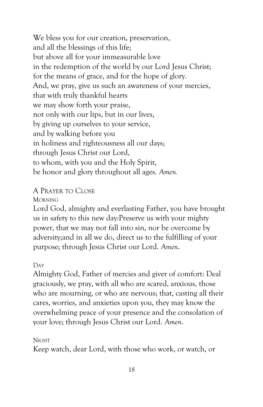We bless you for our creation, preservation, and all the blessings of this life; but above all for your immeasurable love in the redemption of the world by our Lord Jesus Christ; for the means of grace, and for the hope of glory. And, we pray, give us such an awareness of your mercies, that with truly thankful hearts we may show forth your praise, not only with our lips, but in our lives, by giving up ourselves to your service, and by walking before you in holiness and righteousness all our days; through Jesus Christ our Lord, to whom, with you and the Holy Spirit, be honor and glory throughout all ages. *Amen.*

A PRAYER TO CLOSE

**MORNING** 

Lord God, almighty and everlasting Father, you have brought us in safety to this new day:Preserve us with your mighty power, that we may not fall into sin, nor be overcome by adversity;and in all we do, direct us to the fulfilling of your purpose; through Jesus Christ our Lord. *Amen*.

#### DAY

Almighty God, Father of mercies and giver of comfort: Deal graciously, we pray, with all who are scared, anxious, those who are mourning, or who are nervous; that, casting all their cares, worries, and anxieties upon you, they may know the overwhelming peace of your presence and the consolation of your love; through Jesus Christ our Lord. *Amen*.

#### **NIGHT**

Keep watch, dear Lord, with those who work, or watch, or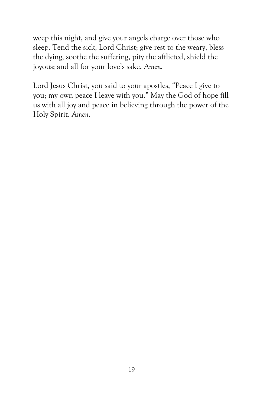weep this night, and give your angels charge over those who sleep. Tend the sick, Lord Christ; give rest to the weary, bless the dying, soothe the suffering, pity the afflicted, shield the joyous; and all for your love's sake. *Amen.* 

Lord Jesus Christ, you said to your apostles, "Peace I give to you; my own peace I leave with you." May the God of hope fill us with all joy and peace in believing through the power of the Holy Spirit. *Amen*.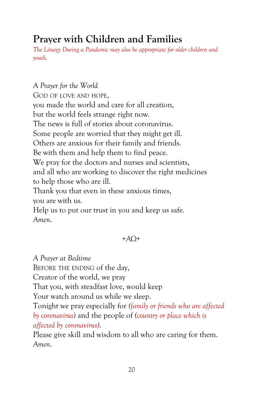## **Prayer with Children and Families**

*The Liturgy During a Pandemic may also be appropriate for older children and youth.*

*A Prayer for the World* GOD OF LOVE AND HOPE, you made the world and care for all creation, but the world feels strange right now. The news is full of stories about coronavirus. Some people are worried that they might get ill. Others are anxious for their family and friends. Be with them and help them to find peace. We pray for the doctors and nurses and scientists, and all who are working to discover the right medicines to help those who are ill. Thank you that even in these anxious times, you are with us.

Help us to put our trust in you and keep us safe. *Amen*.

### *+AΩ+*

*A Prayer at Bedtime*

BEFORE THE ENDING of the day,

Creator of the world, we pray

That you, with steadfast love, would keep

Your watch around us while we sleep.

Tonight we pray especially for *(family or friends who are affected by coronavirus)* and the people of *(country or place which is affected by coronavirus)*.

Please give skill and wisdom to all who are caring for them. *Amen*.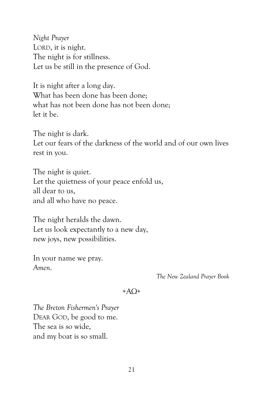*Night Prayer* LORD, it is night. The night is for stillness. Let us be still in the presence of God.

It is night after a long day. What has been done has been done; what has not been done has not been done; let it be.

The night is dark. Let our fears of the darkness of the world and of our own lives rest in you.

The night is quiet. Let the quietness of your peace enfold us, all dear to us, and all who have no peace.

The night heralds the dawn. Let us look expectantly to a new day, new joys, new possibilities.

In your name we pray. *Amen*.

*The New Zealand Prayer Book*

#### $+A<sub>Omega</sub>$ +

*The Breton Fishermen's Prayer* DEAR GOD, be good to me. The sea is so wide, and my boat is so small.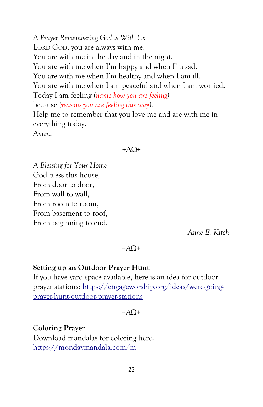*A Prayer Remembering God is With Us* LORD GOD, you are always with me. You are with me in the day and in the night. You are with me when I'm happy and when I'm sad. You are with me when I'm healthy and when I am ill. You are with me when I am peaceful and when I am worried. Today I am feeling *(name how you are feeling)* because *(reasons you are feeling this way)*. Help me to remember that you love me and are with me in everything today. *Amen*.

#### $+A<sub>Omega</sub>$ +

*A Blessing for Your Home* God bless this house, From door to door, From wall to wall, From room to room, From basement to roof, From beginning to end.

*Anne E. Kitch*

#### *+AΩ+*

#### **Setting up an Outdoor Prayer Hunt**

If you have yard space available, here is an idea for outdoor prayer stations: [https://engageworship.org/ideas/were-going](https://engageworship.org/ideas/were-going-prayer-hunt-outdoor-prayer-stations)[prayer-hunt-outdoor-prayer-stations](https://engageworship.org/ideas/were-going-prayer-hunt-outdoor-prayer-stations)

*+AΩ+*

**Coloring Prayer** Download mandalas for coloring here: <https://mondaymandala.com/m>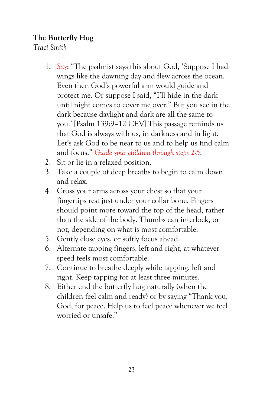### **The Butterfly Hug**

*Traci Smith*

- 1. *Say*: "The psalmist says this about God, 'Suppose I had wings like the dawning day and flew across the ocean. Even then God's powerful arm would guide and protect me. Or suppose I said, "I'll hide in the dark until night comes to cover me over." But you see in the dark because daylight and dark are all the same to you.' [Psalm 139:9–12 CEV] This passage reminds us that God is always with us, in darkness and in light. Let's ask God to be near to us and to help us find calm and focus." *Guide your children through steps 2-5.*
- 2. Sit or lie in a relaxed position.
- 3. Take a couple of deep breaths to begin to calm down and relax.
- 4. Cross your arms across your chest so that your fingertips rest just under your collar bone. Fingers should point more toward the top of the head, rather than the side of the body. Thumbs can interlock, or not, depending on what is most comfortable.
- 5. Gently close eyes, or softly focus ahead.
- 6. Alternate tapping fingers, left and right, at whatever speed feels most comfortable.
- 7. Continue to breathe deeply while tapping, left and right. Keep tapping for at least three minutes.
- 8. Either end the butterfly hug naturally (when the children feel calm and ready) or by saying "Thank you, God, for peace. Help us to feel peace whenever we feel worried or unsafe."